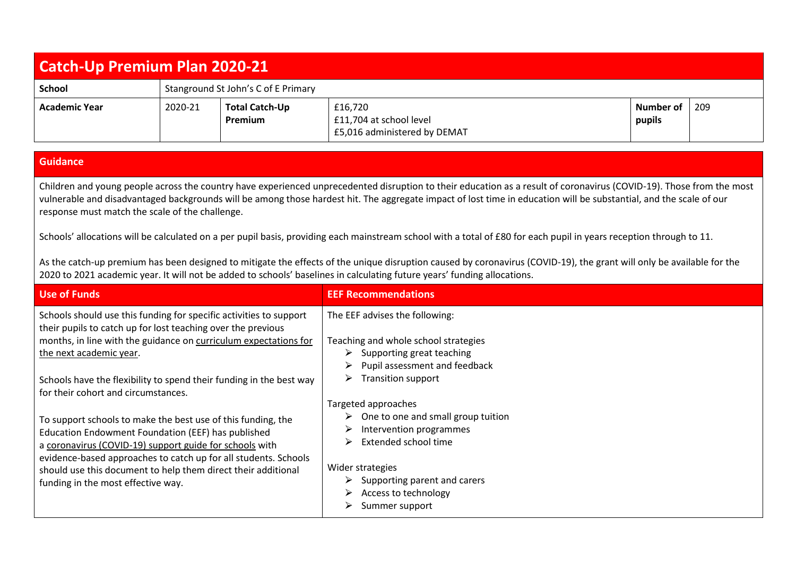## **Catch-Up Premium Plan 2020-21 School** Stanground St John's C of E Primary **Academic Year** 2020-21 **Total Catch-Up Premium** £16,720 £11,704 at school level £5,016 administered by DEMAT **Number of pupils** 209

## **Guidance**

Children and young people across the country have experienced unprecedented disruption to their education as a result of coronavirus (COVID-19). Those from the most vulnerable and disadvantaged backgrounds will be among those hardest hit. The aggregate impact of lost time in education will be substantial, and the scale of our response must match the scale of the challenge.

Schools' allocations will be calculated on a per pupil basis, providing each mainstream school with a total of £80 for each pupil in years reception through to 11.

As the catch-up premium has been designed to mitigate the effects of the unique disruption caused by coronavirus (COVID-19), the grant will only be available for the 2020 to 2021 academic year. It will not be added to schools' baselines in calculating future years' funding allocations.

| <b>Use of Funds</b>                                                                                                                                                                                                               | <b>EEF Recommendations</b>                                                                                                                |
|-----------------------------------------------------------------------------------------------------------------------------------------------------------------------------------------------------------------------------------|-------------------------------------------------------------------------------------------------------------------------------------------|
| Schools should use this funding for specific activities to support<br>their pupils to catch up for lost teaching over the previous<br>months, in line with the guidance on curriculum expectations for<br>the next academic year. | The EEF advises the following:<br>Teaching and whole school strategies<br>Supporting great teaching<br>➤<br>Pupil assessment and feedback |
| Schools have the flexibility to spend their funding in the best way<br>for their cohort and circumstances.<br>To support schools to make the best use of this funding, the<br>Education Endowment Foundation (EEF) has published  | Transition support<br>Targeted approaches<br>One to one and small group tuition<br>Intervention programmes                                |
| a coronavirus (COVID-19) support guide for schools with<br>evidence-based approaches to catch up for all students. Schools<br>should use this document to help them direct their additional<br>funding in the most effective way. | Extended school time<br>⋗<br>Wider strategies<br>Supporting parent and carers<br>Access to technology<br>Summer support                   |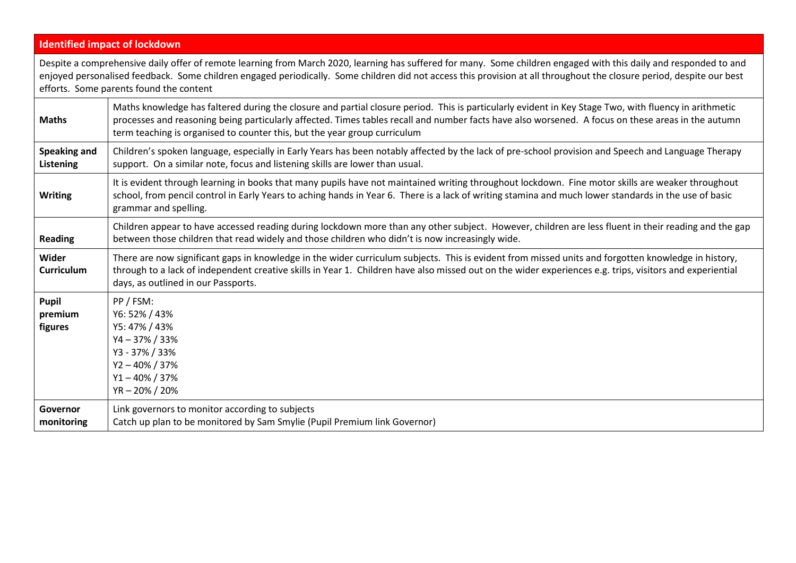|                                    | <b>Identified impact of lockdown</b>                                                                                                                                                                                                                                                                                                                                                     |
|------------------------------------|------------------------------------------------------------------------------------------------------------------------------------------------------------------------------------------------------------------------------------------------------------------------------------------------------------------------------------------------------------------------------------------|
|                                    | Despite a comprehensive daily offer of remote learning from March 2020, learning has suffered for many. Some children engaged with this daily and responded to and<br>enjoyed personalised feedback. Some children engaged periodically. Some children did not access this provision at all throughout the closure period, despite our best<br>efforts. Some parents found the content   |
| <b>Maths</b>                       | Maths knowledge has faltered during the closure and partial closure period. This is particularly evident in Key Stage Two, with fluency in arithmetic<br>processes and reasoning being particularly affected. Times tables recall and number facts have also worsened. A focus on these areas in the autumn<br>term teaching is organised to counter this, but the year group curriculum |
| <b>Speaking and</b><br>Listening   | Children's spoken language, especially in Early Years has been notably affected by the lack of pre-school provision and Speech and Language Therapy<br>support. On a similar note, focus and listening skills are lower than usual.                                                                                                                                                      |
| <b>Writing</b>                     | It is evident through learning in books that many pupils have not maintained writing throughout lockdown. Fine motor skills are weaker throughout<br>school, from pencil control in Early Years to aching hands in Year 6. There is a lack of writing stamina and much lower standards in the use of basic<br>grammar and spelling.                                                      |
| <b>Reading</b>                     | Children appear to have accessed reading during lockdown more than any other subject. However, children are less fluent in their reading and the gap<br>between those children that read widely and those children who didn't is now increasingly wide.                                                                                                                                  |
| Wider<br><b>Curriculum</b>         | There are now significant gaps in knowledge in the wider curriculum subjects. This is evident from missed units and forgotten knowledge in history,<br>through to a lack of independent creative skills in Year 1. Children have also missed out on the wider experiences e.g. trips, visitors and experiential<br>days, as outlined in our Passports.                                   |
| <b>Pupil</b><br>premium<br>figures | PP / FSM:<br>Y6: 52% / 43%<br>Y5: 47% / 43%<br>$Y4 - 37\% / 33\%$<br>Y3 - 37% / 33%<br>$Y2 - 40\% / 37\%$<br>$Y1 - 40\% / 37\%$<br>YR-20%/20%                                                                                                                                                                                                                                            |
| Governor<br>monitoring             | Link governors to monitor according to subjects<br>Catch up plan to be monitored by Sam Smylie (Pupil Premium link Governor)                                                                                                                                                                                                                                                             |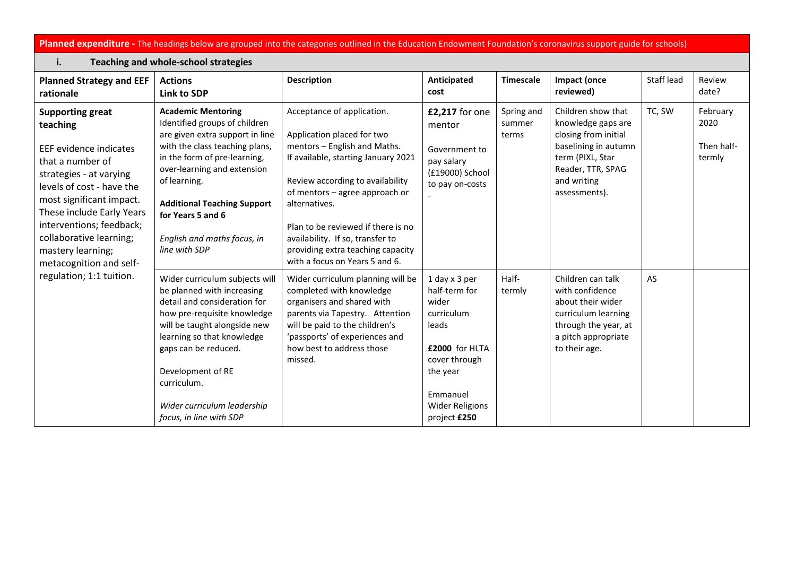## Planned expenditure - The headings below are grouped into the categories outlined in the Education Endowment Foundation's coronavirus support guide for schools)

| <b>Teaching and whole-school strategies</b><br>i.                                                                                                                                                                                                                                                                                     |                                                                                                                                                                                                                                                                                                                           |                                                                                                                                                                                                                                                                                                                                                                         |                                                                                                                                                                     |                               |                                                                                                                                                                   |            |                                          |  |
|---------------------------------------------------------------------------------------------------------------------------------------------------------------------------------------------------------------------------------------------------------------------------------------------------------------------------------------|---------------------------------------------------------------------------------------------------------------------------------------------------------------------------------------------------------------------------------------------------------------------------------------------------------------------------|-------------------------------------------------------------------------------------------------------------------------------------------------------------------------------------------------------------------------------------------------------------------------------------------------------------------------------------------------------------------------|---------------------------------------------------------------------------------------------------------------------------------------------------------------------|-------------------------------|-------------------------------------------------------------------------------------------------------------------------------------------------------------------|------------|------------------------------------------|--|
| <b>Planned Strategy and EEF</b><br>rationale                                                                                                                                                                                                                                                                                          | <b>Actions</b><br>Link to SDP                                                                                                                                                                                                                                                                                             | <b>Description</b>                                                                                                                                                                                                                                                                                                                                                      | Anticipated<br>cost                                                                                                                                                 | <b>Timescale</b>              | Impact (once<br>reviewed)                                                                                                                                         | Staff lead | Review<br>date?                          |  |
| <b>Supporting great</b><br>teaching<br>EEF evidence indicates<br>that a number of<br>strategies - at varying<br>levels of cost - have the<br>most significant impact.<br>These include Early Years<br>interventions; feedback;<br>collaborative learning;<br>mastery learning;<br>metacognition and self-<br>regulation; 1:1 tuition. | <b>Academic Mentoring</b><br>Identified groups of children<br>are given extra support in line<br>with the class teaching plans,<br>in the form of pre-learning,<br>over-learning and extension<br>of learning.<br><b>Additional Teaching Support</b><br>for Years 5 and 6<br>English and maths focus, in<br>line with SDP | Acceptance of application.<br>Application placed for two<br>mentors - English and Maths.<br>If available, starting January 2021<br>Review according to availability<br>of mentors - agree approach or<br>alternatives.<br>Plan to be reviewed if there is no<br>availability. If so, transfer to<br>providing extra teaching capacity<br>with a focus on Years 5 and 6. | £2,217 for one<br>mentor<br>Government to<br>pay salary<br>(£19000) School<br>to pay on-costs                                                                       | Spring and<br>summer<br>terms | Children show that<br>knowledge gaps are<br>closing from initial<br>baselining in autumn<br>term (PIXL, Star<br>Reader, TTR, SPAG<br>and writing<br>assessments). | TC, SW     | February<br>2020<br>Then half-<br>termly |  |
|                                                                                                                                                                                                                                                                                                                                       | Wider curriculum subjects will<br>be planned with increasing<br>detail and consideration for<br>how pre-requisite knowledge<br>will be taught alongside new<br>learning so that knowledge<br>gaps can be reduced.<br>Development of RE<br>curriculum.<br>Wider curriculum leadership<br>focus, in line with SDP           | Wider curriculum planning will be<br>completed with knowledge<br>organisers and shared with<br>parents via Tapestry. Attention<br>will be paid to the children's<br>'passports' of experiences and<br>how best to address those<br>missed.                                                                                                                              | 1 day x 3 per<br>half-term for<br>wider<br>curriculum<br>leads<br>£2000 for HLTA<br>cover through<br>the year<br>Emmanuel<br><b>Wider Religions</b><br>project £250 | Half-<br>termly               | Children can talk<br>with confidence<br>about their wider<br>curriculum learning<br>through the year, at<br>a pitch appropriate<br>to their age.                  | AS         |                                          |  |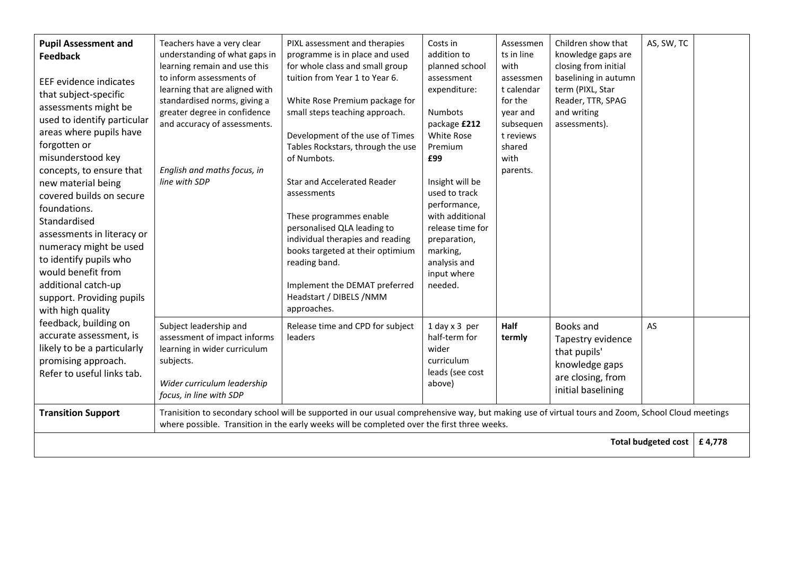| <b>Pupil Assessment and</b><br><b>Feedback</b><br><b>EEF</b> evidence indicates<br>that subject-specific<br>assessments might be<br>used to identify particular<br>areas where pupils have<br>forgotten or<br>misunderstood key<br>concepts, to ensure that<br>new material being<br>covered builds on secure<br>foundations.<br>Standardised<br>assessments in literacy or<br>numeracy might be used<br>to identify pupils who<br>would benefit from<br>additional catch-up<br>support. Providing pupils<br>with high quality | Teachers have a very clear<br>understanding of what gaps in<br>learning remain and use this<br>to inform assessments of<br>learning that are aligned with<br>standardised norms, giving a<br>greater degree in confidence<br>and accuracy of assessments.<br>English and maths focus, in<br>line with SDP | PIXL assessment and therapies<br>programme is in place and used<br>for whole class and small group<br>tuition from Year 1 to Year 6.<br>White Rose Premium package for<br>small steps teaching approach.<br>Development of the use of Times<br>Tables Rockstars, through the use<br>of Numbots.<br><b>Star and Accelerated Reader</b><br>assessments<br>These programmes enable<br>personalised QLA leading to<br>individual therapies and reading<br>books targeted at their optimium<br>reading band.<br>Implement the DEMAT preferred<br>Headstart / DIBELS /NMM<br>approaches. | Costs in<br>addition to<br>planned school<br>assessment<br>expenditure:<br>Numbots<br>package £212<br>White Rose<br>Premium<br>£99<br>Insight will be<br>used to track<br>performance,<br>with additional<br>release time for<br>preparation,<br>marking,<br>analysis and<br>input where<br>needed. | Assessmen<br>ts in line<br>with<br>assessmen<br>t calendar<br>for the<br>year and<br>subsequen<br>t reviews<br>shared<br>with<br>parents. | Children show that<br>knowledge gaps are<br>closing from initial<br>baselining in autumn<br>term (PIXL, Star<br>Reader, TTR, SPAG<br>and writing<br>assessments). | AS, SW, TC |  |
|--------------------------------------------------------------------------------------------------------------------------------------------------------------------------------------------------------------------------------------------------------------------------------------------------------------------------------------------------------------------------------------------------------------------------------------------------------------------------------------------------------------------------------|-----------------------------------------------------------------------------------------------------------------------------------------------------------------------------------------------------------------------------------------------------------------------------------------------------------|------------------------------------------------------------------------------------------------------------------------------------------------------------------------------------------------------------------------------------------------------------------------------------------------------------------------------------------------------------------------------------------------------------------------------------------------------------------------------------------------------------------------------------------------------------------------------------|-----------------------------------------------------------------------------------------------------------------------------------------------------------------------------------------------------------------------------------------------------------------------------------------------------|-------------------------------------------------------------------------------------------------------------------------------------------|-------------------------------------------------------------------------------------------------------------------------------------------------------------------|------------|--|
| feedback, building on<br>accurate assessment, is<br>likely to be a particularly<br>promising approach.<br>Refer to useful links tab.                                                                                                                                                                                                                                                                                                                                                                                           | Subject leadership and<br>assessment of impact informs<br>learning in wider curriculum<br>subjects.<br>Wider curriculum leadership<br>focus, in line with SDP                                                                                                                                             | Release time and CPD for subject<br>leaders                                                                                                                                                                                                                                                                                                                                                                                                                                                                                                                                        | 1 day x 3 per<br>half-term for<br>wider<br>curriculum<br>leads (see cost<br>above)                                                                                                                                                                                                                  | Half<br>termly                                                                                                                            | Books and<br>Tapestry evidence<br>that pupils'<br>knowledge gaps<br>are closing, from<br>initial baselining                                                       | AS         |  |
| <b>Transition Support</b>                                                                                                                                                                                                                                                                                                                                                                                                                                                                                                      |                                                                                                                                                                                                                                                                                                           | Tranisition to secondary school will be supported in our usual comprehensive way, but making use of virtual tours and Zoom, School Cloud meetings<br>where possible. Transition in the early weeks will be completed over the first three weeks.                                                                                                                                                                                                                                                                                                                                   |                                                                                                                                                                                                                                                                                                     |                                                                                                                                           |                                                                                                                                                                   |            |  |
| <b>Total budgeted cost</b>                                                                                                                                                                                                                                                                                                                                                                                                                                                                                                     |                                                                                                                                                                                                                                                                                                           |                                                                                                                                                                                                                                                                                                                                                                                                                                                                                                                                                                                    |                                                                                                                                                                                                                                                                                                     |                                                                                                                                           |                                                                                                                                                                   |            |  |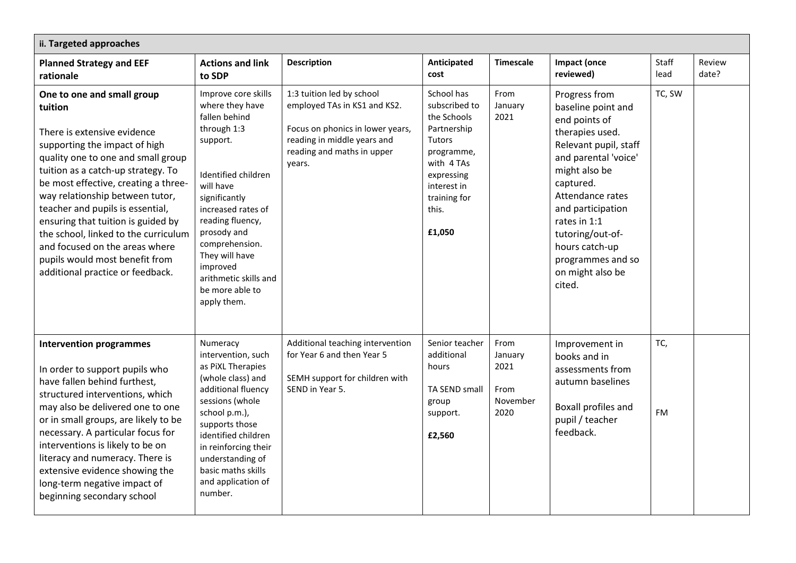| ii. Targeted approaches                                                                                                                                                                                                                                                                                                                                                                                                                                                                |                                                                                                                                                                                                                                                                                                             |                                                                                                                                                                      |                                                                                                                                                                        |                                                     |                                                                                                                                                                                                                                                                                                            |                  |                 |
|----------------------------------------------------------------------------------------------------------------------------------------------------------------------------------------------------------------------------------------------------------------------------------------------------------------------------------------------------------------------------------------------------------------------------------------------------------------------------------------|-------------------------------------------------------------------------------------------------------------------------------------------------------------------------------------------------------------------------------------------------------------------------------------------------------------|----------------------------------------------------------------------------------------------------------------------------------------------------------------------|------------------------------------------------------------------------------------------------------------------------------------------------------------------------|-----------------------------------------------------|------------------------------------------------------------------------------------------------------------------------------------------------------------------------------------------------------------------------------------------------------------------------------------------------------------|------------------|-----------------|
| <b>Planned Strategy and EEF</b><br>rationale                                                                                                                                                                                                                                                                                                                                                                                                                                           | <b>Actions and link</b><br>to SDP                                                                                                                                                                                                                                                                           | <b>Description</b>                                                                                                                                                   | Anticipated<br>cost                                                                                                                                                    | <b>Timescale</b>                                    | <b>Impact (once</b><br>reviewed)                                                                                                                                                                                                                                                                           | Staff<br>lead    | Review<br>date? |
| One to one and small group<br>tuition<br>There is extensive evidence<br>supporting the impact of high<br>quality one to one and small group<br>tuition as a catch-up strategy. To<br>be most effective, creating a three-<br>way relationship between tutor,<br>teacher and pupils is essential,<br>ensuring that tuition is guided by<br>the school, linked to the curriculum<br>and focused on the areas where<br>pupils would most benefit from<br>additional practice or feedback. | Improve core skills<br>where they have<br>fallen behind<br>through 1:3<br>support.<br>Identified children<br>will have<br>significantly<br>increased rates of<br>reading fluency,<br>prosody and<br>comprehension.<br>They will have<br>improved<br>arithmetic skills and<br>be more able to<br>apply them. | 1:3 tuition led by school<br>employed TAs in KS1 and KS2.<br>Focus on phonics in lower years,<br>reading in middle years and<br>reading and maths in upper<br>years. | School has<br>subscribed to<br>the Schools<br>Partnership<br><b>Tutors</b><br>programme,<br>with 4 TAs<br>expressing<br>interest in<br>training for<br>this.<br>£1,050 | From<br>January<br>2021                             | Progress from<br>baseline point and<br>end points of<br>therapies used.<br>Relevant pupil, staff<br>and parental 'voice'<br>might also be<br>captured.<br>Attendance rates<br>and participation<br>rates in $1:1$<br>tutoring/out-of-<br>hours catch-up<br>programmes and so<br>on might also be<br>cited. | TC, SW           |                 |
| <b>Intervention programmes</b><br>In order to support pupils who<br>have fallen behind furthest,<br>structured interventions, which<br>may also be delivered one to one<br>or in small groups, are likely to be<br>necessary. A particular focus for<br>interventions is likely to be on<br>literacy and numeracy. There is<br>extensive evidence showing the<br>long-term negative impact of<br>beginning secondary school                                                            | Numeracy<br>intervention, such<br>as PiXL Therapies<br>(whole class) and<br>additional fluency<br>sessions (whole<br>school p.m.),<br>supports those<br>identified children<br>in reinforcing their<br>understanding of<br>basic maths skills<br>and application of<br>number.                              | Additional teaching intervention<br>for Year 6 and then Year 5<br>SEMH support for children with<br>SEND in Year 5.                                                  | Senior teacher<br>additional<br>hours<br>TA SEND small<br>group<br>support.<br>£2,560                                                                                  | From<br>January<br>2021<br>From<br>November<br>2020 | Improvement in<br>books and in<br>assessments from<br>autumn baselines<br>Boxall profiles and<br>pupil / teacher<br>feedback.                                                                                                                                                                              | TC,<br><b>FM</b> |                 |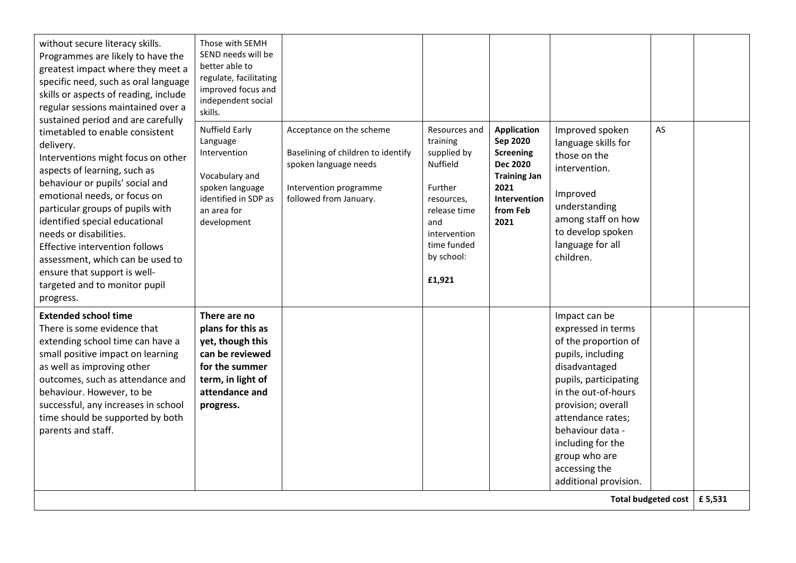| Intervention<br>Baselining of children to identify<br>supplied by<br>Interventions might focus on other<br>spoken language needs<br><b>Nuffield</b><br>aspects of learning, such as<br>Vocabulary and<br>behaviour or pupils' social and<br>spoken language<br>Further<br>2021<br>Intervention programme<br>emotional needs, or focus on<br>identified in SDP as<br>followed from January.<br>resources,<br>particular groups of pupils with<br>an area for<br>release time<br>identified special educational<br>2021<br>development<br>and<br>needs or disabilities.<br>intervention<br>time funded<br>Effective intervention follows<br>by school:<br>assessment, which can be used to<br>ensure that support is well-<br>£1,921<br>targeted and to monitor pupil<br>progress.<br><b>Extended school time</b><br>There are no<br>There is some evidence that<br>plans for this as<br>extending school time can have a<br>yet, though this<br>can be reviewed<br>small positive impact on learning | <b>Screening</b><br><b>Dec 2020</b><br><b>Training Jan</b><br>Intervention<br>from Feb | those on the<br>intervention.<br>Improved<br>understanding                                                                                                                                                                                                                                       |                     |        |
|-----------------------------------------------------------------------------------------------------------------------------------------------------------------------------------------------------------------------------------------------------------------------------------------------------------------------------------------------------------------------------------------------------------------------------------------------------------------------------------------------------------------------------------------------------------------------------------------------------------------------------------------------------------------------------------------------------------------------------------------------------------------------------------------------------------------------------------------------------------------------------------------------------------------------------------------------------------------------------------------------------|----------------------------------------------------------------------------------------|--------------------------------------------------------------------------------------------------------------------------------------------------------------------------------------------------------------------------------------------------------------------------------------------------|---------------------|--------|
|                                                                                                                                                                                                                                                                                                                                                                                                                                                                                                                                                                                                                                                                                                                                                                                                                                                                                                                                                                                                     |                                                                                        | among staff on how<br>to develop spoken<br>language for all<br>children.                                                                                                                                                                                                                         |                     |        |
| as well as improving other<br>for the summer<br>outcomes, such as attendance and<br>term, in light of<br>behaviour. However, to be<br>attendance and<br>successful, any increases in school<br>progress.<br>time should be supported by both<br>parents and staff.                                                                                                                                                                                                                                                                                                                                                                                                                                                                                                                                                                                                                                                                                                                                  |                                                                                        | Impact can be<br>expressed in terms<br>of the proportion of<br>pupils, including<br>disadvantaged<br>pupils, participating<br>in the out-of-hours<br>provision; overall<br>attendance rates;<br>behaviour data -<br>including for the<br>group who are<br>accessing the<br>additional provision. | Total budgeted cost | £5,531 |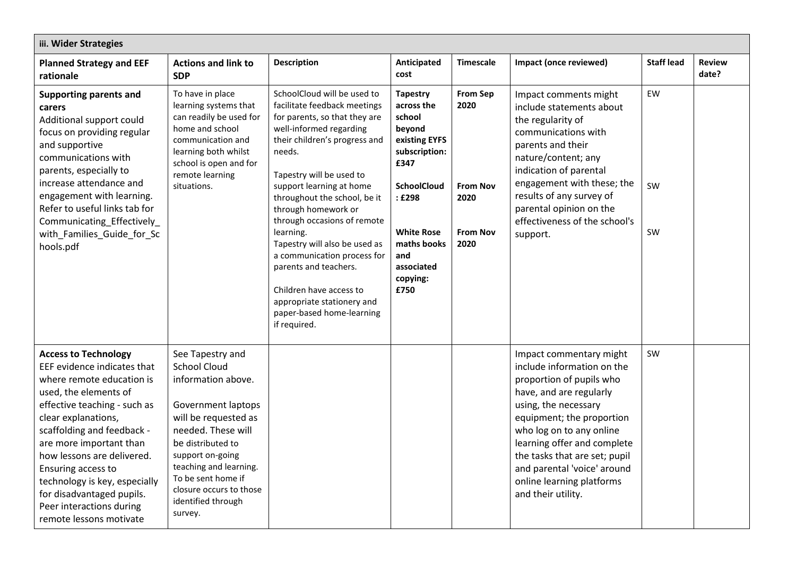| iii. Wider Strategies                                                                                                                                                                                                                                                                                                                                                                                     |                                                                                                                                                                                                                                                                                        |                                                                                                                                                                                                                                                                                                                                                                                                                                                                                                                              |                                                                                                                                                                                                          |                                                                               |                                                                                                                                                                                                                                                                                                                                                 |                   |                        |
|-----------------------------------------------------------------------------------------------------------------------------------------------------------------------------------------------------------------------------------------------------------------------------------------------------------------------------------------------------------------------------------------------------------|----------------------------------------------------------------------------------------------------------------------------------------------------------------------------------------------------------------------------------------------------------------------------------------|------------------------------------------------------------------------------------------------------------------------------------------------------------------------------------------------------------------------------------------------------------------------------------------------------------------------------------------------------------------------------------------------------------------------------------------------------------------------------------------------------------------------------|----------------------------------------------------------------------------------------------------------------------------------------------------------------------------------------------------------|-------------------------------------------------------------------------------|-------------------------------------------------------------------------------------------------------------------------------------------------------------------------------------------------------------------------------------------------------------------------------------------------------------------------------------------------|-------------------|------------------------|
| <b>Planned Strategy and EEF</b><br>rationale                                                                                                                                                                                                                                                                                                                                                              | <b>Actions and link to</b><br><b>SDP</b>                                                                                                                                                                                                                                               | <b>Description</b>                                                                                                                                                                                                                                                                                                                                                                                                                                                                                                           | Anticipated<br>cost                                                                                                                                                                                      | <b>Timescale</b>                                                              | Impact (once reviewed)                                                                                                                                                                                                                                                                                                                          | <b>Staff lead</b> | <b>Review</b><br>date? |
| <b>Supporting parents and</b><br>carers<br>Additional support could<br>focus on providing regular<br>and supportive<br>communications with<br>parents, especially to<br>increase attendance and<br>engagement with learning.<br>Refer to useful links tab for<br>Communicating_Effectively_<br>with_Families_Guide_for_Sc<br>hools.pdf                                                                    | To have in place<br>learning systems that<br>can readily be used for<br>home and school<br>communication and<br>learning both whilst<br>school is open and for<br>remote learning<br>situations.                                                                                       | SchoolCloud will be used to<br>facilitate feedback meetings<br>for parents, so that they are<br>well-informed regarding<br>their children's progress and<br>needs.<br>Tapestry will be used to<br>support learning at home<br>throughout the school, be it<br>through homework or<br>through occasions of remote<br>learning.<br>Tapestry will also be used as<br>a communication process for<br>parents and teachers.<br>Children have access to<br>appropriate stationery and<br>paper-based home-learning<br>if required. | <b>Tapestry</b><br>across the<br>school<br>beyond<br>existing EYFS<br>subscription:<br>£347<br><b>SchoolCloud</b><br>: £298<br><b>White Rose</b><br>maths books<br>and<br>associated<br>copying:<br>£750 | <b>From Sep</b><br>2020<br><b>From Nov</b><br>2020<br><b>From Nov</b><br>2020 | Impact comments might<br>include statements about<br>the regularity of<br>communications with<br>parents and their<br>nature/content; any<br>indication of parental<br>engagement with these; the<br>results of any survey of<br>parental opinion on the<br>effectiveness of the school's<br>support.                                           | EW<br>SW<br>SW    |                        |
| <b>Access to Technology</b><br>EEF evidence indicates that<br>where remote education is<br>used, the elements of<br>effective teaching - such as<br>clear explanations,<br>scaffolding and feedback -<br>are more important than<br>how lessons are delivered.<br>Ensuring access to<br>technology is key, especially<br>for disadvantaged pupils.<br>Peer interactions during<br>remote lessons motivate | See Tapestry and<br><b>School Cloud</b><br>information above.<br>Government laptops<br>will be requested as<br>needed. These will<br>be distributed to<br>support on-going<br>teaching and learning.<br>To be sent home if<br>closure occurs to those<br>identified through<br>survey. |                                                                                                                                                                                                                                                                                                                                                                                                                                                                                                                              |                                                                                                                                                                                                          |                                                                               | Impact commentary might<br>include information on the<br>proportion of pupils who<br>have, and are regularly<br>using, the necessary<br>equipment; the proportion<br>who log on to any online<br>learning offer and complete<br>the tasks that are set; pupil<br>and parental 'voice' around<br>online learning platforms<br>and their utility. | SW                |                        |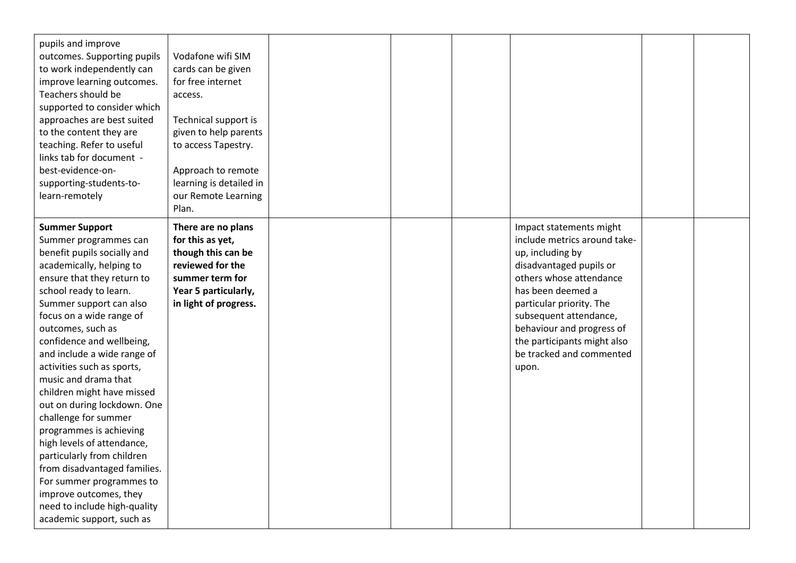| pupils and improve<br>outcomes. Supporting pupils<br>to work independently can<br>improve learning outcomes.<br>Teachers should be<br>supported to consider which<br>approaches are best suited<br>to the content they are<br>teaching. Refer to useful<br>links tab for document -<br>best-evidence-on-<br>supporting-students-to-<br>learn-remotely                                                                                                                                                                                                                                                                                                                                          | Vodafone wifi SIM<br>cards can be given<br>for free internet<br>access.<br>Technical support is<br>given to help parents<br>to access Tapestry.<br>Approach to remote<br>learning is detailed in<br>our Remote Learning<br>Plan. |  |                                                                                                                                                                                                                                                                                                               |  |
|------------------------------------------------------------------------------------------------------------------------------------------------------------------------------------------------------------------------------------------------------------------------------------------------------------------------------------------------------------------------------------------------------------------------------------------------------------------------------------------------------------------------------------------------------------------------------------------------------------------------------------------------------------------------------------------------|----------------------------------------------------------------------------------------------------------------------------------------------------------------------------------------------------------------------------------|--|---------------------------------------------------------------------------------------------------------------------------------------------------------------------------------------------------------------------------------------------------------------------------------------------------------------|--|
| <b>Summer Support</b><br>Summer programmes can<br>benefit pupils socially and<br>academically, helping to<br>ensure that they return to<br>school ready to learn.<br>Summer support can also<br>focus on a wide range of<br>outcomes, such as<br>confidence and wellbeing,<br>and include a wide range of<br>activities such as sports,<br>music and drama that<br>children might have missed<br>out on during lockdown. One<br>challenge for summer<br>programmes is achieving<br>high levels of attendance,<br>particularly from children<br>from disadvantaged families.<br>For summer programmes to<br>improve outcomes, they<br>need to include high-quality<br>academic support, such as | There are no plans<br>for this as yet,<br>though this can be<br>reviewed for the<br>summer term for<br>Year 5 particularly,<br>in light of progress.                                                                             |  | Impact statements might<br>include metrics around take-<br>up, including by<br>disadvantaged pupils or<br>others whose attendance<br>has been deemed a<br>particular priority. The<br>subsequent attendance,<br>behaviour and progress of<br>the participants might also<br>be tracked and commented<br>upon. |  |